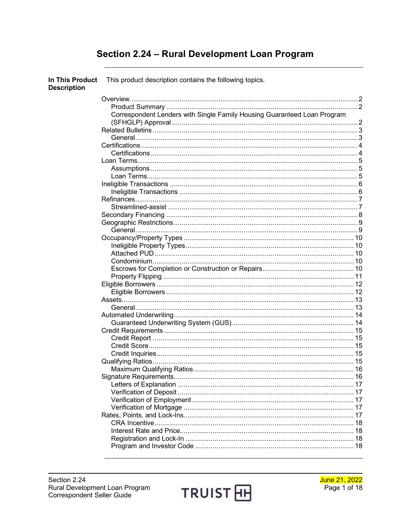## Section 2.24 - Rural Development Loan Program

| In This Product<br><b>Description</b> | This product description contains the following topics.                  |  |
|---------------------------------------|--------------------------------------------------------------------------|--|
|                                       |                                                                          |  |
|                                       |                                                                          |  |
|                                       | Correspondent Lenders with Single Family Housing Guaranteed Loan Program |  |
|                                       |                                                                          |  |
|                                       |                                                                          |  |
|                                       |                                                                          |  |
|                                       |                                                                          |  |
|                                       |                                                                          |  |
|                                       |                                                                          |  |
|                                       |                                                                          |  |
|                                       |                                                                          |  |
|                                       |                                                                          |  |
|                                       |                                                                          |  |
|                                       |                                                                          |  |
|                                       |                                                                          |  |
|                                       |                                                                          |  |
|                                       |                                                                          |  |
|                                       |                                                                          |  |
|                                       |                                                                          |  |
|                                       |                                                                          |  |
|                                       |                                                                          |  |
|                                       |                                                                          |  |
|                                       |                                                                          |  |
|                                       |                                                                          |  |
|                                       |                                                                          |  |
|                                       |                                                                          |  |
|                                       |                                                                          |  |
|                                       |                                                                          |  |
|                                       |                                                                          |  |
|                                       |                                                                          |  |
|                                       |                                                                          |  |
|                                       |                                                                          |  |
|                                       |                                                                          |  |
|                                       |                                                                          |  |
|                                       |                                                                          |  |
|                                       |                                                                          |  |
|                                       |                                                                          |  |
|                                       |                                                                          |  |
|                                       |                                                                          |  |
|                                       |                                                                          |  |
|                                       |                                                                          |  |
|                                       |                                                                          |  |
|                                       |                                                                          |  |
|                                       |                                                                          |  |
|                                       |                                                                          |  |

TRUIST<sub>田</sub>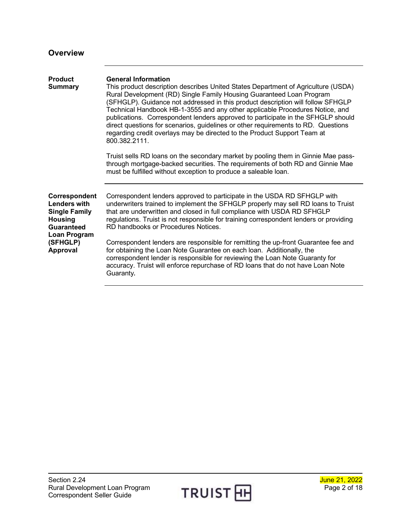<span id="page-1-2"></span><span id="page-1-1"></span><span id="page-1-0"></span>

| <b>Overview</b>                                                                                              |                                                                                                                                                                                                                                                                                                                                                                                                                                                                                                                                                                                                                                  |
|--------------------------------------------------------------------------------------------------------------|----------------------------------------------------------------------------------------------------------------------------------------------------------------------------------------------------------------------------------------------------------------------------------------------------------------------------------------------------------------------------------------------------------------------------------------------------------------------------------------------------------------------------------------------------------------------------------------------------------------------------------|
| <b>Product</b><br><b>Summary</b>                                                                             | <b>General Information</b><br>This product description describes United States Department of Agriculture (USDA)<br>Rural Development (RD) Single Family Housing Guaranteed Loan Program<br>(SFHGLP). Guidance not addressed in this product description will follow SFHGLP<br>Technical Handbook HB-1-3555 and any other applicable Procedures Notice, and<br>publications. Correspondent lenders approved to participate in the SFHGLP should<br>direct questions for scenarios, guidelines or other requirements to RD. Questions<br>regarding credit overlays may be directed to the Product Support Team at<br>800.382.2111. |
|                                                                                                              | Truist sells RD loans on the secondary market by pooling them in Ginnie Mae pass-<br>through mortgage-backed securities. The requirements of both RD and Ginnie Mae<br>must be fulfilled without exception to produce a saleable loan.                                                                                                                                                                                                                                                                                                                                                                                           |
| Correspondent<br><b>Lenders with</b><br><b>Single Family</b><br><b>Housing</b><br>Guaranteed<br>Loan Program | Correspondent lenders approved to participate in the USDA RD SFHGLP with<br>underwriters trained to implement the SFHGLP properly may sell RD loans to Truist<br>that are underwritten and closed in full compliance with USDA RD SFHGLP<br>regulations. Truist is not responsible for training correspondent lenders or providing<br>RD handbooks or Procedures Notices.                                                                                                                                                                                                                                                        |
| (SFHGLP)<br><b>Approval</b>                                                                                  | Correspondent lenders are responsible for remitting the up-front Guarantee fee and<br>for obtaining the Loan Note Guarantee on each loan. Additionally, the<br>correspondent lender is responsible for reviewing the Loan Note Guaranty for<br>accuracy. Truist will enforce repurchase of RD loans that do not have Loan Note<br>Guaranty.                                                                                                                                                                                                                                                                                      |

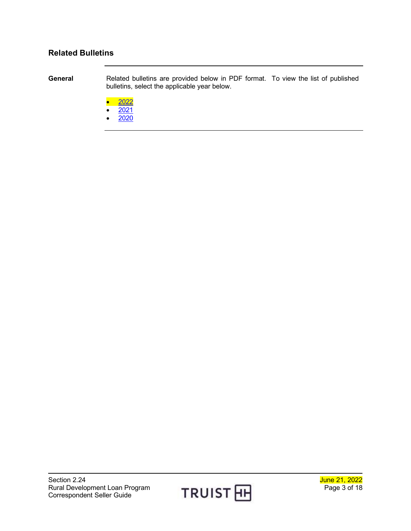#### <span id="page-2-0"></span>**Related Bulletins**

<span id="page-2-1"></span>**General** Related bulletins are provided below in PDF format. To view the list of published bulletins, select the applicable year below.

- $\bullet$  [2022](http://www.truistsellerguide.com/manual/cor/bulletins/Related%20Bulletins/2022/CRD2022.pdf)
- $2021$
- [2020](http://www.truistsellerguide.com/manual/cor/bulletins/Related%20Bulletins/2020/CRD2020.pdf)

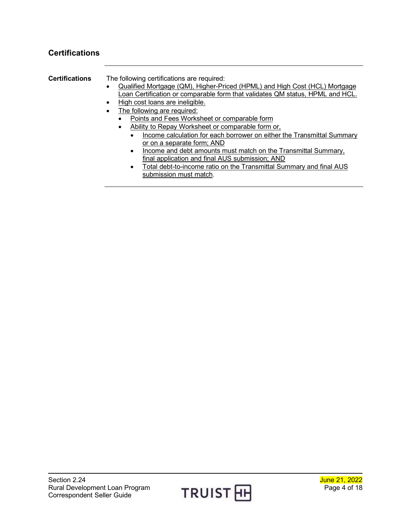### <span id="page-3-0"></span>**Certifications**

<span id="page-3-1"></span>

| <b>Certifications</b> | The following certifications are required:                                       |
|-----------------------|----------------------------------------------------------------------------------|
|                       | Qualified Mortgage (QM), Higher-Priced (HPML) and High Cost (HCL) Mortgage       |
|                       | Loan Certification or comparable form that validates QM status, HPML and HCL.    |
|                       | High cost loans are ineligible.                                                  |
|                       | The following are required:                                                      |
|                       | Points and Fees Worksheet or comparable form                                     |
|                       | Ability to Repay Worksheet or comparable form or,                                |
|                       | Income calculation for each borrower on either the Transmittal Summary           |
|                       | or on a separate form; AND                                                       |
|                       | Income and debt amounts must match on the Transmittal Summary,                   |
|                       | final application and final AUS submission; AND                                  |
|                       | Total debt-to-income ratio on the Transmittal Summary and final AUS<br>$\bullet$ |
|                       | submission must match.                                                           |
|                       |                                                                                  |

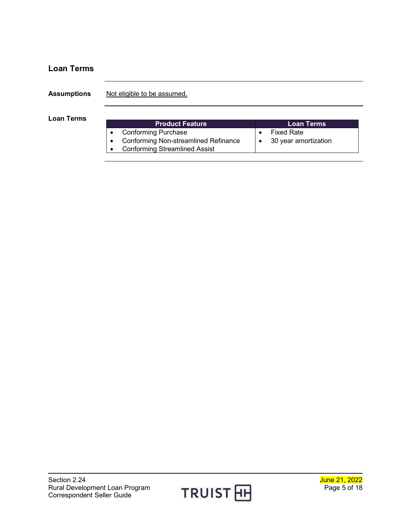<span id="page-4-2"></span><span id="page-4-1"></span><span id="page-4-0"></span>

| <b>Loan Terms</b>  |                                                                                                            |                                                             |
|--------------------|------------------------------------------------------------------------------------------------------------|-------------------------------------------------------------|
| <b>Assumptions</b> | Not eligible to be assumed.                                                                                |                                                             |
| <b>Loan Terms</b>  | <b>Product Feature</b>                                                                                     | <b>Loan Terms</b>                                           |
|                    | <b>Conforming Purchase</b><br>Conforming Non-streamlined Refinance<br><b>Conforming Streamlined Assist</b> | <b>Fixed Rate</b><br>$\bullet$<br>30 year amortization<br>٠ |

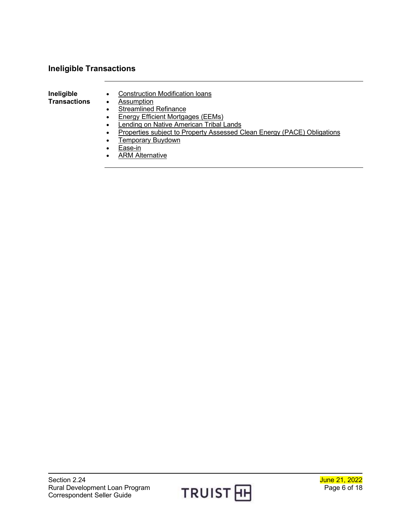### <span id="page-5-0"></span>**Ineligible Transactions**

<span id="page-5-1"></span>**Ineligible Transactions** • Construction Modification loans

• Assumption

- Streamlined Refinance
- Energy Efficient Mortgages (EEMs)
- Lending on Native American Tribal Lands
- Properties subject to Property Assessed Clean Energy (PACE) Obligations
- Temporary Buydown
- Ease-in
- **ARM Alternative**

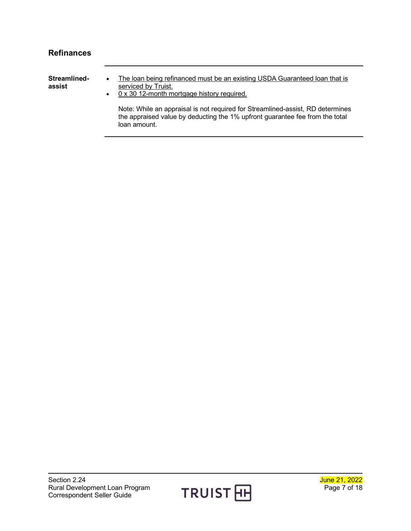<span id="page-6-1"></span><span id="page-6-0"></span>

| <b>Refinances</b>      |                                                                                                                                                                                |
|------------------------|--------------------------------------------------------------------------------------------------------------------------------------------------------------------------------|
| Streamlined-<br>assist | The loan being refinanced must be an existing USDA Guaranteed loan that is<br>serviced by Truist.<br>0 x 30 12-month mortgage history required.<br>$\bullet$                   |
|                        | Note: While an appraisal is not required for Streamlined-assist, RD determines<br>the appraised value by deducting the 1% upfront guarantee fee from the total<br>loan amount. |

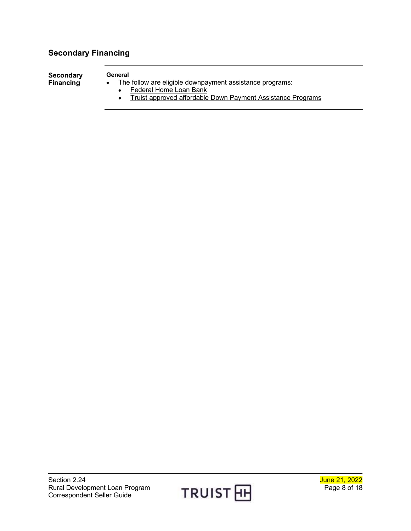# <span id="page-7-0"></span>**Secondary Financing**

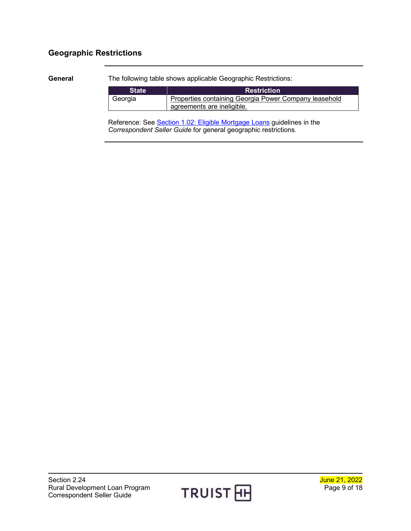### <span id="page-8-0"></span>**Geographic Restrictions**

<span id="page-8-1"></span>**General** The following table shows applicable Geographic Restrictions:

| <b>State</b> | <b>Restriction</b>                                    |
|--------------|-------------------------------------------------------|
| Georgia      | Properties containing Georgia Power Company leasehold |
|              | agreements are ineligible.                            |

Reference: See Section 1.02: [Eligible Mortgage Loans](http://www.truistsellerguide.com/manual/cor/general/1.02EligMtg.pdf) guidelines in the *Correspondent Seller Guide* for general geographic restrictions.

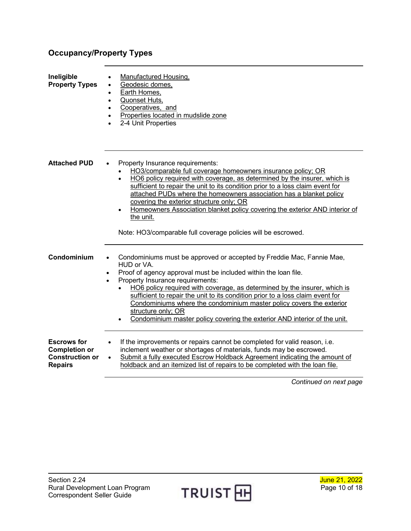### <span id="page-9-0"></span>**Occupancy/Property Types**

<span id="page-9-3"></span><span id="page-9-2"></span><span id="page-9-1"></span>

| Ineligible<br><b>Property Types</b>                                                    | <b>Manufactured Housing,</b><br>Geodesic domes,<br>Earth Homes,<br>Quonset Huts,<br>Cooperatives, and<br>Properties located in mudslide zone<br>2-4 Unit Properties                                                                                                                                                                                                                                                                                                                                                                                            |
|----------------------------------------------------------------------------------------|----------------------------------------------------------------------------------------------------------------------------------------------------------------------------------------------------------------------------------------------------------------------------------------------------------------------------------------------------------------------------------------------------------------------------------------------------------------------------------------------------------------------------------------------------------------|
| <b>Attached PUD</b>                                                                    | Property Insurance requirements:<br>HO3/comparable full coverage homeowners insurance policy; OR<br>HO6 policy required with coverage, as determined by the insurer, which is<br>$\bullet$<br>sufficient to repair the unit to its condition prior to a loss claim event for<br>attached PUDs where the homeowners association has a blanket policy<br>covering the exterior structure only; OR<br>Homeowners Association blanket policy covering the exterior AND interior of<br>the unit.<br>Note: HO3/comparable full coverage policies will be escrowed.   |
| Condominium                                                                            | Condominiums must be approved or accepted by Freddie Mac, Fannie Mae,<br>HUD or VA.<br>Proof of agency approval must be included within the loan file.<br>$\bullet$<br>Property Insurance requirements:<br>$\bullet$<br>HO6 policy required with coverage, as determined by the insurer, which is<br>sufficient to repair the unit to its condition prior to a loss claim event for<br>Condominiums where the condominium master policy covers the exterior<br>structure only; OR<br>Condominium master policy covering the exterior AND interior of the unit. |
| <b>Escrows for</b><br><b>Completion or</b><br><b>Construction or</b><br><b>Repairs</b> | If the improvements or repairs cannot be completed for valid reason, i.e.<br>inclement weather or shortages of materials, funds may be escrowed.<br>Submit a fully executed Escrow Holdback Agreement indicating the amount of<br>$\bullet$<br>holdback and an itemized list of repairs to be completed with the loan file.<br>Continued on next page                                                                                                                                                                                                          |

<span id="page-9-4"></span>

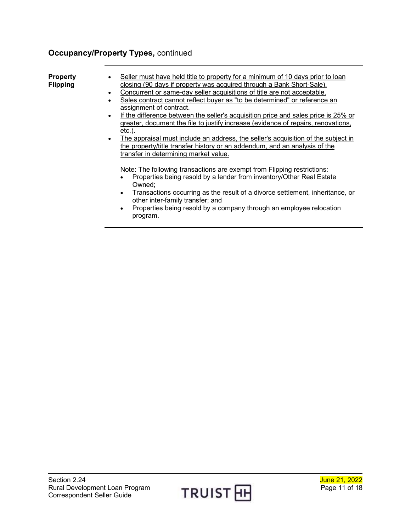### **Occupancy/Property Types,** continued

<span id="page-10-0"></span>

| <b>Property</b> | Seller must have held title to property for a minimum of 10 days prior to loan               |
|-----------------|----------------------------------------------------------------------------------------------|
| <b>Flipping</b> | closing (90 days if property was acquired through a Bank Short-Sale).                        |
|                 | Concurrent or same-day seller acquisitions of title are not acceptable.                      |
|                 | Sales contract cannot reflect buyer as "to be determined" or reference an                    |
|                 | assignment of contract.                                                                      |
|                 | If the difference between the seller's acquisition price and sales price is 25% or           |
|                 | greater, document the file to justify increase (evidence of repairs, renovations,            |
|                 | $etc.$ ).                                                                                    |
|                 | • The appraisal must include an address, the seller's acquisition of the subject in          |
|                 | the property/title transfer history or an addendum, and an analysis of the                   |
|                 | transfer in determining market value.                                                        |
|                 |                                                                                              |
|                 | Note: The following transactions are exempt from Flipping restrictions:                      |
|                 | Properties being resold by a lender from inventory/Other Real Estate                         |
|                 | Owned;                                                                                       |
|                 | Transactions occurring as the result of a divorce settlement, inheritance, or<br>$\bullet$   |
|                 | other inter-family transfer; and                                                             |
|                 |                                                                                              |
|                 | Properties being resold by a company through an employee relocation<br>$\bullet$<br>program. |

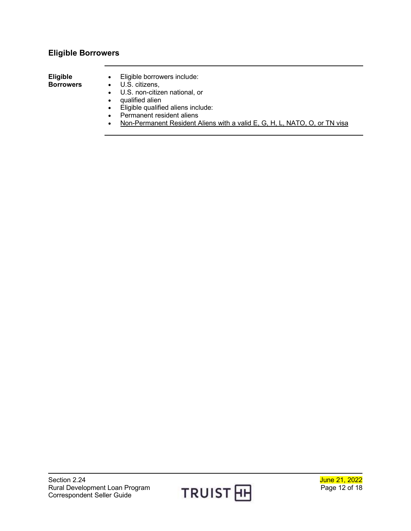### <span id="page-11-0"></span>**Eligible Borrowers**

<span id="page-11-1"></span>

| <b>Eligible</b>  | • Eligible borrowers include:                                              |
|------------------|----------------------------------------------------------------------------|
| <b>Borrowers</b> | $\bullet$ U.S. citizens,                                                   |
|                  | • U.S. non-citizen national, or                                            |
|                  | qualified alien                                                            |
|                  | • Eligible qualified aliens include:                                       |
|                  | Permanent resident aliens                                                  |
|                  | Non-Permanent Resident Aliens with a valid E, G, H, L, NATO, O, or TN visa |

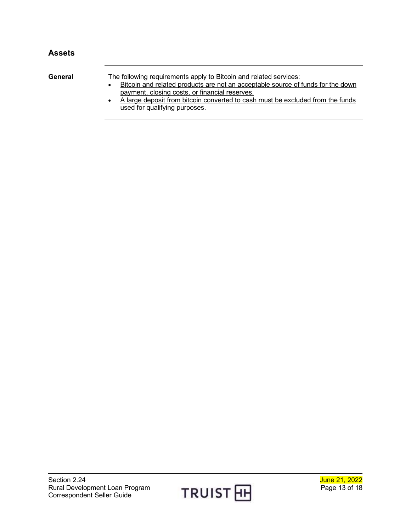### <span id="page-12-0"></span>**Assets**

<span id="page-12-1"></span>

| General | The following requirements apply to Bitcoin and related services:                                                                 |
|---------|-----------------------------------------------------------------------------------------------------------------------------------|
|         | Bitcoin and related products are not an acceptable source of funds for the down<br>payment, closing costs, or financial reserves. |
|         | A large deposit from bitcoin converted to cash must be excluded from the funds                                                    |
|         | used for qualifying purposes.                                                                                                     |

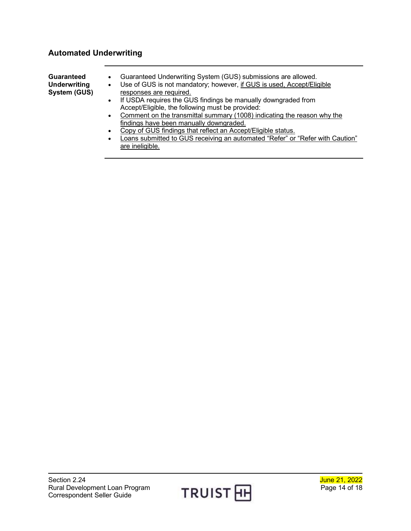#### <span id="page-13-0"></span>**Automated Underwriting**

<span id="page-13-1"></span>**Guaranteed Underwriting System (GUS)** • Guaranteed Underwriting System (GUS) submissions are allowed. • Use of GUS is not mandatory; however, if GUS is used, Accept/Eligible responses are required. • If USDA requires the GUS findings be manually downgraded from Accept/Eligible, the following must be provided: • Comment on the transmittal summary (1008) indicating the reason why the findings have been manually downgraded.

- Copy of GUS findings that reflect an Accept/Eligible status.
- Loans submitted to GUS receiving an automated "Refer" or "Refer with Caution" are ineligible.

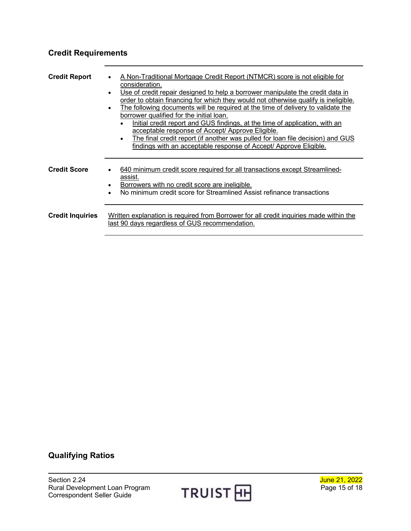### <span id="page-14-0"></span>**Credit Requirements**

<span id="page-14-3"></span><span id="page-14-2"></span><span id="page-14-1"></span>

| <b>Credit Report</b>    | A Non-Traditional Mortgage Credit Report (NTMCR) score is not eligible for<br>$\bullet$<br>consideration.<br>Use of credit repair designed to help a borrower manipulate the credit data in<br>$\bullet$<br>order to obtain financing for which they would not otherwise qualify is ineligible.<br>The following documents will be required at the time of delivery to validate the<br>$\bullet$<br>borrower qualified for the initial loan.<br>Initial credit report and GUS findings, at the time of application, with an<br>acceptable response of Accept/ Approve Eligible.<br>The final credit report (if another was pulled for loan file decision) and GUS<br>$\bullet$<br>findings with an acceptable response of Accept/ Approve Eligible. |
|-------------------------|-----------------------------------------------------------------------------------------------------------------------------------------------------------------------------------------------------------------------------------------------------------------------------------------------------------------------------------------------------------------------------------------------------------------------------------------------------------------------------------------------------------------------------------------------------------------------------------------------------------------------------------------------------------------------------------------------------------------------------------------------------|
| <b>Credit Score</b>     | 640 minimum credit score required for all transactions except Streamlined-<br>$\bullet$<br>assist.<br>Borrowers with no credit score are ineligible.<br>$\bullet$<br>No minimum credit score for Streamlined Assist refinance transactions<br>$\bullet$                                                                                                                                                                                                                                                                                                                                                                                                                                                                                             |
| <b>Credit Inquiries</b> | Written explanation is required from Borrower for all credit inquiries made within the<br>last 90 days regardless of GUS recommendation.                                                                                                                                                                                                                                                                                                                                                                                                                                                                                                                                                                                                            |

### <span id="page-14-4"></span>**Qualifying Ratios**



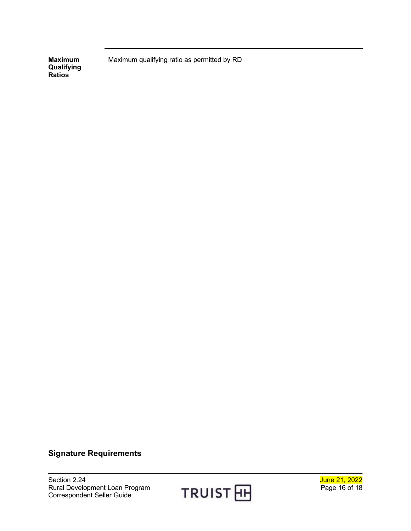<span id="page-15-0"></span>**Maximum Qualifying Ratios**

Maximum qualifying ratio as permitted by RD

#### <span id="page-15-1"></span>**Signature Requirements**

Section 2.24<br>
Rural Development Loan Program<br>
Correspondent Seller Guide<br>
Correspondent Seller Guide<br>
Correspondent Seller Guide Rural Development Loan Program Correspondent Seller Guide



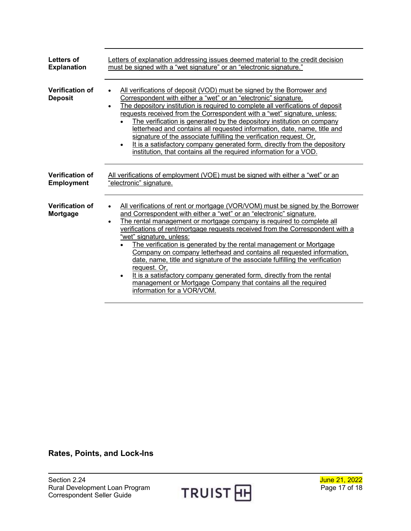<span id="page-16-3"></span><span id="page-16-2"></span><span id="page-16-1"></span><span id="page-16-0"></span>

| Letters of                               | Letters of explanation addressing issues deemed material to the credit decision                                                                                                                                                                                                                                                                                                                                                                                                                                                                                                                                                                                                                                                                                                                            |  |  |
|------------------------------------------|------------------------------------------------------------------------------------------------------------------------------------------------------------------------------------------------------------------------------------------------------------------------------------------------------------------------------------------------------------------------------------------------------------------------------------------------------------------------------------------------------------------------------------------------------------------------------------------------------------------------------------------------------------------------------------------------------------------------------------------------------------------------------------------------------------|--|--|
| <b>Explanation</b>                       | must be signed with a "wet signature" or an "electronic signature."                                                                                                                                                                                                                                                                                                                                                                                                                                                                                                                                                                                                                                                                                                                                        |  |  |
| <b>Verification of</b><br><b>Deposit</b> | All verifications of deposit (VOD) must be signed by the Borrower and<br>Correspondent with either a "wet" or an "electronic" signature.<br>The depository institution is required to complete all verifications of deposit<br>$\bullet$<br>requests received from the Correspondent with a "wet" signature, unless:<br>The verification is generated by the depository institution on company<br>letterhead and contains all requested information, date, name, title and<br>signature of the associate fulfilling the verification request. Or,<br>It is a satisfactory company generated form, directly from the depository<br>$\bullet$<br>institution, that contains all the required information for a VOD.                                                                                          |  |  |
| <b>Verification of</b>                   | All verifications of employment (VOE) must be signed with either a "wet" or an                                                                                                                                                                                                                                                                                                                                                                                                                                                                                                                                                                                                                                                                                                                             |  |  |
| <b>Employment</b>                        | "electronic" signature.                                                                                                                                                                                                                                                                                                                                                                                                                                                                                                                                                                                                                                                                                                                                                                                    |  |  |
| <b>Verification of</b><br>Mortgage       | All verifications of rent or mortgage (VOR/VOM) must be signed by the Borrower<br>$\bullet$<br>and Correspondent with either a "wet" or an "electronic" signature.<br>The rental management or mortgage company is required to complete all<br>$\bullet$<br>verifications of rent/mortgage requests received from the Correspondent with a<br>"wet" signature, unless:<br>The verification is generated by the rental management or Mortgage<br>Company on company letterhead and contains all requested information,<br>date, name, title and signature of the associate fulfilling the verification<br>request. Or,<br>It is a satisfactory company generated form, directly from the rental<br>$\bullet$<br>management or Mortgage Company that contains all the required<br>information for a VOR/VOM. |  |  |

<span id="page-16-4"></span>**Rates, Points, and Lock-Ins**